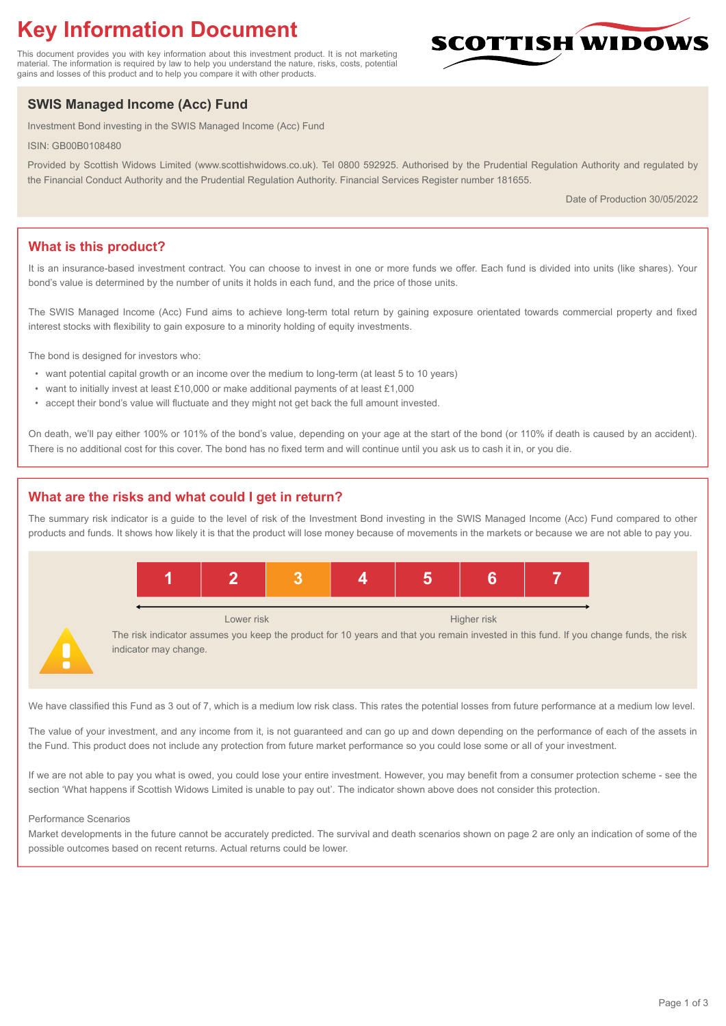# **Key Information Document**

This document provides you with key information about this investment product. It is not marketing material. The information is required by law to help you understand the nature, risks, costs, potential gains and losses of this product and to help you compare it with other products.

## **SWIS Managed Income (Acc) Fund**

Investment Bond investing in the SWIS Managed Income (Acc) Fund

ISIN: GB00B0108480

Provided by Scottish Widows Limited (www.scottishwidows.co.uk). Tel 0800 592925. Authorised by the Prudential Regulation Authority and regulated by the Financial Conduct Authority and the Prudential Regulation Authority. Financial Services Register number 181655.

Date of Production 30/05/2022

**SCOTTISH WIDOW** 

## **What is this product?**

It is an insurance-based investment contract. You can choose to invest in one or more funds we offer. Each fund is divided into units (like shares). Your bond's value is determined by the number of units it holds in each fund, and the price of those units.

The SWIS Managed Income (Acc) Fund aims to achieve long-term total return by gaining exposure orientated towards commercial property and fixed interest stocks with flexibility to gain exposure to a minority holding of equity investments.

The bond is designed for investors who:

- want potential capital growth or an income over the medium to long-term (at least 5 to 10 years)
- want to initially invest at least £10,000 or make additional payments of at least £1,000
- accept their bond's value will fluctuate and they might not get back the full amount invested.

On death, we'll pay either 100% or 101% of the bond's value, depending on your age at the start of the bond (or 110% if death is caused by an accident). There is no additional cost for this cover. The bond has no fixed term and will continue until you ask us to cash it in, or you die.

## **What are the risks and what could I get in return?**

The summary risk indicator is a guide to the level of risk of the Investment Bond investing in the SWIS Managed Income (Acc) Fund compared to other products and funds. It shows how likely it is that the product will lose money because of movements in the markets or because we are not able to pay you.



We have classified this Fund as 3 out of 7, which is a medium low risk class. This rates the potential losses from future performance at a medium low level.

The value of your investment, and any income from it, is not guaranteed and can go up and down depending on the performance of each of the assets in the Fund. This product does not include any protection from future market performance so you could lose some or all of your investment.

If we are not able to pay you what is owed, you could lose your entire investment. However, you may benefit from a consumer protection scheme - see the section 'What happens if Scottish Widows Limited is unable to pay out'. The indicator shown above does not consider this protection.

#### Performance Scenarios

Market developments in the future cannot be accurately predicted. The survival and death scenarios shown on page 2 are only an indication of some of the possible outcomes based on recent returns. Actual returns could be lower.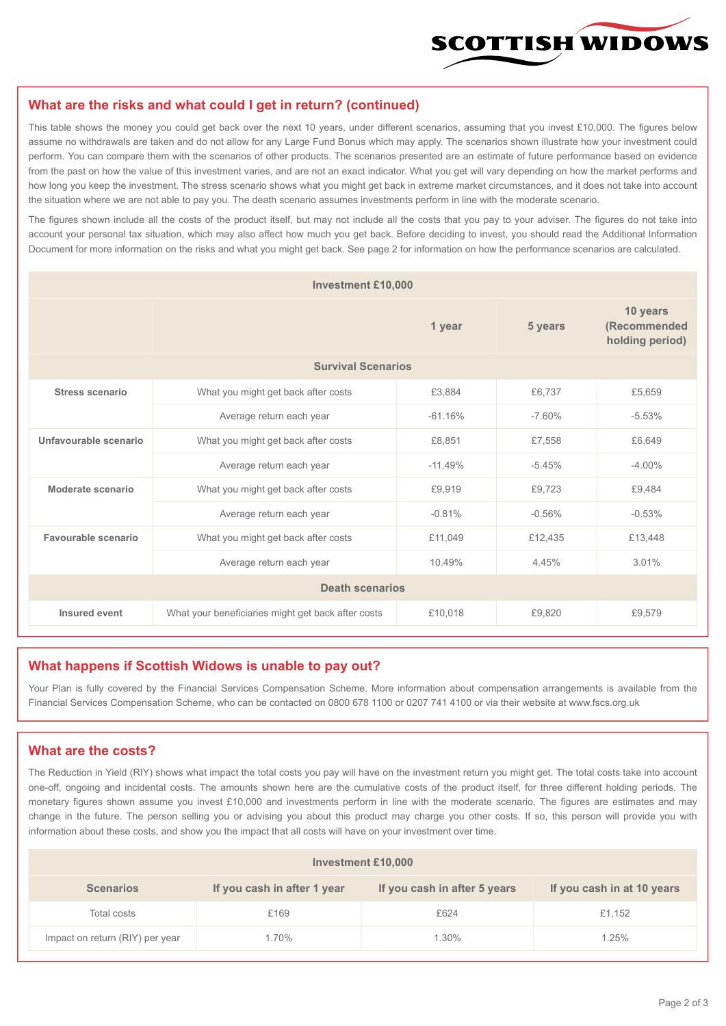

#### **What are the risks and what could I get in return? (continued)**

This table shows the money you could get back over the next 10 years, under different scenarios, assuming that you invest £10,000. The figures below assume no withdrawals are taken and do not allow for any Large Fund Bonus which may apply. The scenarios shown illustrate how your investment could perform. You can compare them with the scenarios of other products. The scenarios presented are an estimate of future performance based on evidence from the past on how the value of this investment varies, and are not an exact indicator. What you get will vary depending on how the market performs and how long you keep the investment. The stress scenario shows what you might get back in extreme market circumstances, and it does not take into account the situation where we are not able to pay you. The death scenario assumes investments perform in line with the moderate scenario.

The figures shown include all the costs of the product itself, but may not include all the costs that you pay to your adviser. The figures do not take into account your personal tax situation, which may also affect how much you get back. Before deciding to invest, you should read the Additional Information Document for more information on the risks and what you might get back. See page 2 for information on how the performance scenarios are calculated.

| <b>Investment £10,000</b> |                                                    |           |          |                                             |  |  |
|---------------------------|----------------------------------------------------|-----------|----------|---------------------------------------------|--|--|
|                           | 1 year                                             |           | 5 years  | 10 years<br>(Recommended<br>holding period) |  |  |
| <b>Survival Scenarios</b> |                                                    |           |          |                                             |  |  |
| <b>Stress scenario</b>    | What you might get back after costs                | £3,884    | £6,737   | £5,659                                      |  |  |
|                           | $-61.16%$<br>Average return each year              |           | $-7.60%$ | $-5.53%$                                    |  |  |
| Unfavourable scenario     | What you might get back after costs<br>£8,851      |           | £7,558   | £6,649                                      |  |  |
|                           | Average return each year                           | $-11.49%$ | $-5.45%$ | $-4.00%$                                    |  |  |
| Moderate scenario         | What you might get back after costs                | £9,919    | £9,723   | £9.484                                      |  |  |
|                           | Average return each year                           | $-0.81%$  | $-0.56%$ | $-0.53%$                                    |  |  |
| Favourable scenario       | What you might get back after costs                | £11,049   | £12,435  | £13,448                                     |  |  |
|                           | Average return each year                           | 10.49%    | 4.45%    | 3.01%                                       |  |  |
| <b>Death scenarios</b>    |                                                    |           |          |                                             |  |  |
| Insured event             | What your beneficiaries might get back after costs | £10,018   | £9.820   | £9.579                                      |  |  |

#### **What happens if Scottish Widows is unable to pay out?**

Your Plan is fully covered by the Financial Services Compensation Scheme. More information about compensation arrangements is available from the Financial Services Compensation Scheme, who can be contacted on 0800 678 1100 or 0207 741 4100 or via their website at www.fscs.org.uk

## **What are the costs?**

The Reduction in Yield (RIY) shows what impact the total costs you pay will have on the investment return you might get. The total costs take into account one-off, ongoing and incidental costs. The amounts shown here are the cumulative costs of the product itself, for three different holding periods. The monetary figures shown assume you invest £10,000 and investments perform in line with the moderate scenario. The figures are estimates and may change in the future. The person selling you or advising you about this product may charge you other costs. If so, this person will provide you with information about these costs, and show you the impact that all costs will have on your investment over time.

| Investment £10,000              |                             |                              |                            |  |  |  |
|---------------------------------|-----------------------------|------------------------------|----------------------------|--|--|--|
| <b>Scenarios</b>                | If you cash in after 1 year | If you cash in after 5 years | If you cash in at 10 years |  |  |  |
| Total costs                     | £169                        | £624                         | £1,152                     |  |  |  |
| Impact on return (RIY) per year | 1.70%                       | 1.30%                        | 1.25%                      |  |  |  |